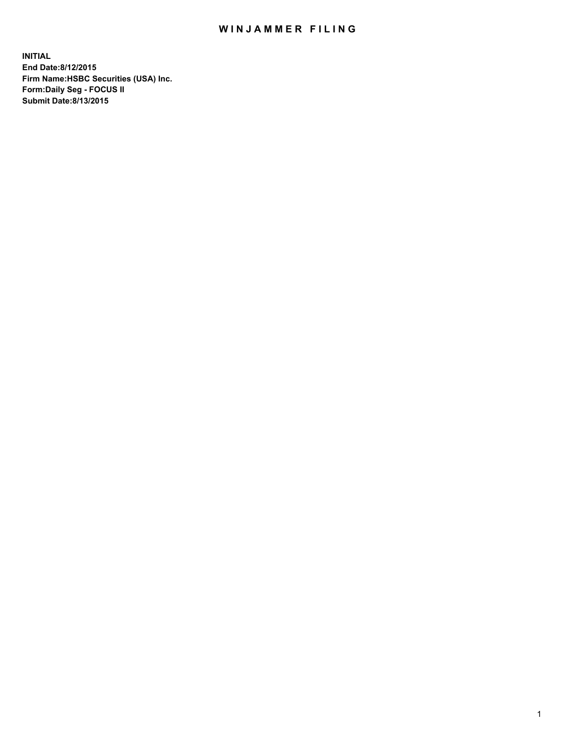## WIN JAMMER FILING

**INITIAL End Date:8/12/2015 Firm Name:HSBC Securities (USA) Inc. Form:Daily Seg - FOCUS II Submit Date:8/13/2015**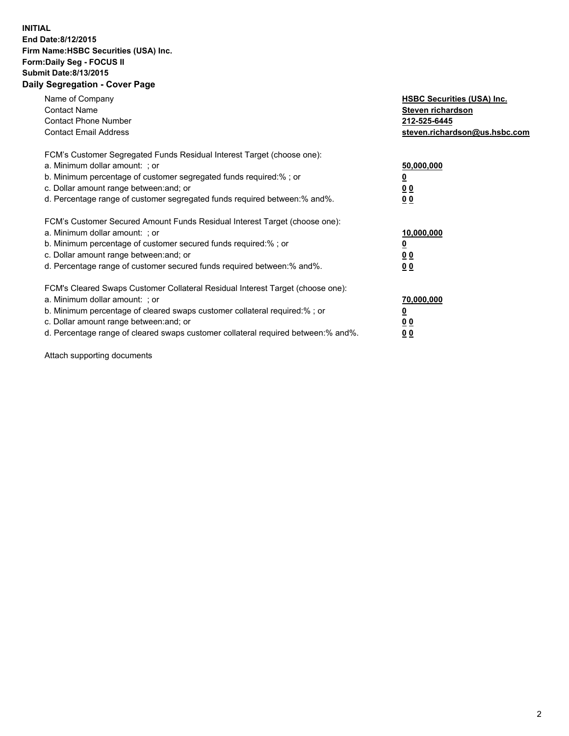## **INITIAL End Date:8/12/2015 Firm Name:HSBC Securities (USA) Inc. Form:Daily Seg - FOCUS II Submit Date:8/13/2015 Daily Segregation - Cover Page**

| Name of Company<br><b>Contact Name</b><br><b>Contact Phone Number</b><br><b>Contact Email Address</b>                                                                                                                                                                                                                         | <b>HSBC Securities (USA) Inc.</b><br>Steven richardson<br>212-525-6445<br>steven.richardson@us.hsbc.com |
|-------------------------------------------------------------------------------------------------------------------------------------------------------------------------------------------------------------------------------------------------------------------------------------------------------------------------------|---------------------------------------------------------------------------------------------------------|
| FCM's Customer Segregated Funds Residual Interest Target (choose one):<br>a. Minimum dollar amount: ; or<br>b. Minimum percentage of customer segregated funds required:% ; or<br>c. Dollar amount range between: and; or<br>d. Percentage range of customer segregated funds required between: % and %.                      | 50,000,000<br>0 <sub>0</sub><br>00                                                                      |
| FCM's Customer Secured Amount Funds Residual Interest Target (choose one):<br>a. Minimum dollar amount: ; or<br>b. Minimum percentage of customer secured funds required:%; or<br>c. Dollar amount range between: and; or<br>d. Percentage range of customer secured funds required between: % and %.                         | 10,000,000<br>00<br>00                                                                                  |
| FCM's Cleared Swaps Customer Collateral Residual Interest Target (choose one):<br>a. Minimum dollar amount: ; or<br>b. Minimum percentage of cleared swaps customer collateral required:%; or<br>c. Dollar amount range between: and; or<br>d. Percentage range of cleared swaps customer collateral required between:% and%. | 70,000,000<br>0 <sub>0</sub><br>00                                                                      |

Attach supporting documents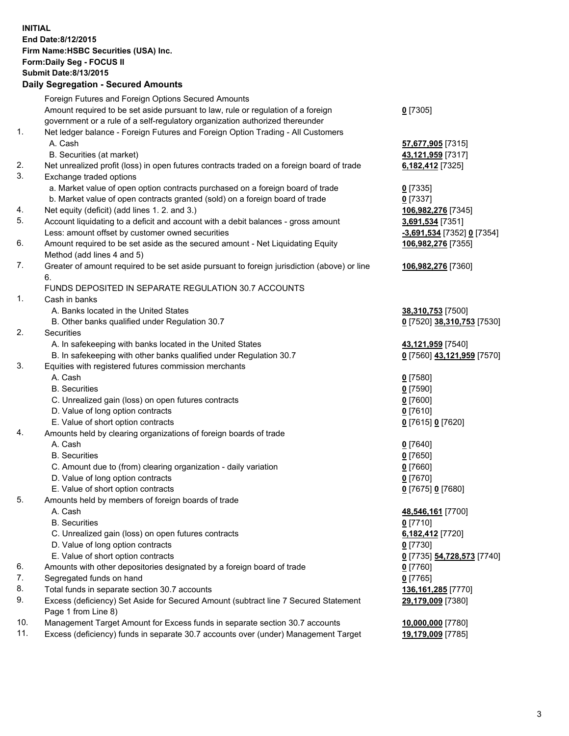**INITIAL End Date:8/12/2015 Firm Name:HSBC Securities (USA) Inc. Form:Daily Seg - FOCUS II Submit Date:8/13/2015 Daily Segregation - Secured Amounts**

Foreign Futures and Foreign Options Secured Amounts Amount required to be set aside pursuant to law, rule or regulation of a foreign government or a rule of a self-regulatory organization authorized thereunder **0** [7305] 1. Net ledger balance - Foreign Futures and Foreign Option Trading - All Customers A. Cash **57,677,905** [7315] B. Securities (at market) **43,121,959** [7317] 2. Net unrealized profit (loss) in open futures contracts traded on a foreign board of trade **6,182,412** [7325] 3. Exchange traded options a. Market value of open option contracts purchased on a foreign board of trade **0** [7335] b. Market value of open contracts granted (sold) on a foreign board of trade **0** [7337] 4. Net equity (deficit) (add lines 1. 2. and 3.) **106,982,276** [7345] 5. Account liquidating to a deficit and account with a debit balances - gross amount **3,691,534** [7351] Less: amount offset by customer owned securities **-3,691,534** [7352] **0** [7354] 6. Amount required to be set aside as the secured amount - Net Liquidating Equity Method (add lines 4 and 5) **106,982,276** [7355] 7. Greater of amount required to be set aside pursuant to foreign jurisdiction (above) or line 6. **106,982,276** [7360] FUNDS DEPOSITED IN SEPARATE REGULATION 30.7 ACCOUNTS 1. Cash in banks A. Banks located in the United States **38,310,753** [7500] B. Other banks qualified under Regulation 30.7 **0** [7520] **38,310,753** [7530] 2. Securities A. In safekeeping with banks located in the United States **43,121,959** [7540] B. In safekeeping with other banks qualified under Regulation 30.7 **0** [7560] **43,121,959** [7570] 3. Equities with registered futures commission merchants A. Cash **0** [7580] B. Securities **0** [7590] C. Unrealized gain (loss) on open futures contracts **0** [7600] D. Value of long option contracts **0** [7610] E. Value of short option contracts **0** [7615] **0** [7620] 4. Amounts held by clearing organizations of foreign boards of trade A. Cash **0** [7640] B. Securities **0** [7650] C. Amount due to (from) clearing organization - daily variation **0** [7660] D. Value of long option contracts **0** [7670] E. Value of short option contracts **0** [7675] **0** [7680] 5. Amounts held by members of foreign boards of trade A. Cash **48,546,161** [7700] B. Securities **0** [7710] C. Unrealized gain (loss) on open futures contracts **6,182,412** [7720] D. Value of long option contracts **0** [7730] E. Value of short option contracts **0** [7735] **54,728,573** [7740] 6. Amounts with other depositories designated by a foreign board of trade **0** [7760] 7. Segregated funds on hand **0** [7765] 8. Total funds in separate section 30.7 accounts **136,161,285** [7770] 9. Excess (deficiency) Set Aside for Secured Amount (subtract line 7 Secured Statement Page 1 from Line 8) **29,179,009** [7380] 10. Management Target Amount for Excess funds in separate section 30.7 accounts **10,000,000** [7780] 11. Excess (deficiency) funds in separate 30.7 accounts over (under) Management Target **19,179,009** [7785]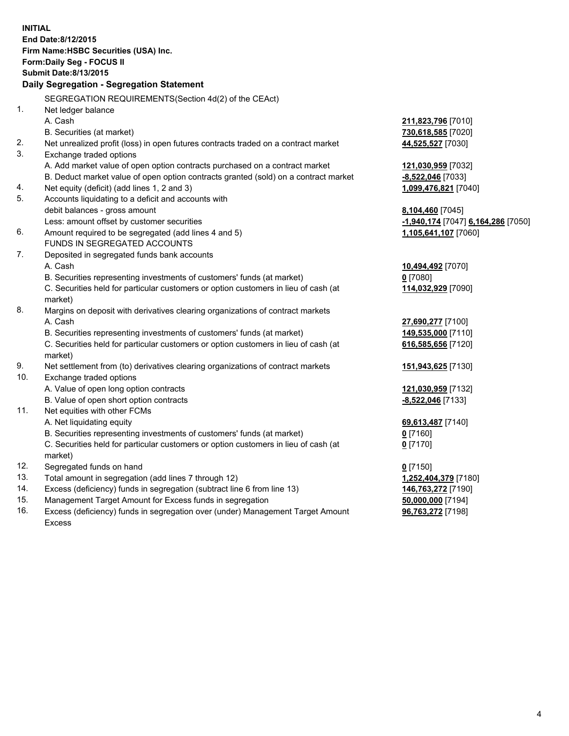| <b>INITIAL</b><br>End Date: 8/12/2015     |                                                                                                                                    |                                           |  |  |  |
|-------------------------------------------|------------------------------------------------------------------------------------------------------------------------------------|-------------------------------------------|--|--|--|
| Firm Name: HSBC Securities (USA) Inc.     |                                                                                                                                    |                                           |  |  |  |
| Form: Daily Seg - FOCUS II                |                                                                                                                                    |                                           |  |  |  |
| <b>Submit Date: 8/13/2015</b>             |                                                                                                                                    |                                           |  |  |  |
| Daily Segregation - Segregation Statement |                                                                                                                                    |                                           |  |  |  |
|                                           |                                                                                                                                    |                                           |  |  |  |
|                                           | SEGREGATION REQUIREMENTS(Section 4d(2) of the CEAct)                                                                               |                                           |  |  |  |
| 1.                                        | Net ledger balance<br>A. Cash                                                                                                      |                                           |  |  |  |
|                                           |                                                                                                                                    | 211,823,796 [7010]                        |  |  |  |
| 2.                                        | B. Securities (at market)                                                                                                          | 730,618,585 [7020]                        |  |  |  |
| 3.                                        | Net unrealized profit (loss) in open futures contracts traded on a contract market                                                 | 44,525,527 [7030]                         |  |  |  |
|                                           | Exchange traded options                                                                                                            |                                           |  |  |  |
|                                           | A. Add market value of open option contracts purchased on a contract market                                                        | 121,030,959 [7032]                        |  |  |  |
| 4.                                        | B. Deduct market value of open option contracts granted (sold) on a contract market<br>Net equity (deficit) (add lines 1, 2 and 3) | -8,522,046 [7033]<br>1,099,476,821 [7040] |  |  |  |
| 5.                                        | Accounts liquidating to a deficit and accounts with                                                                                |                                           |  |  |  |
|                                           | debit balances - gross amount                                                                                                      | 8,104,460 [7045]                          |  |  |  |
|                                           | Less: amount offset by customer securities                                                                                         | -1,940,174 [7047] 6,164,286 [7050]        |  |  |  |
| 6.                                        | Amount required to be segregated (add lines 4 and 5)                                                                               | 1,105,641,107 [7060]                      |  |  |  |
|                                           | FUNDS IN SEGREGATED ACCOUNTS                                                                                                       |                                           |  |  |  |
| 7.                                        | Deposited in segregated funds bank accounts                                                                                        |                                           |  |  |  |
|                                           | A. Cash                                                                                                                            | 10,494,492 [7070]                         |  |  |  |
|                                           | B. Securities representing investments of customers' funds (at market)                                                             | $0$ [7080]                                |  |  |  |
|                                           | C. Securities held for particular customers or option customers in lieu of cash (at                                                | 114,032,929 [7090]                        |  |  |  |
|                                           | market)                                                                                                                            |                                           |  |  |  |
| 8.                                        | Margins on deposit with derivatives clearing organizations of contract markets                                                     |                                           |  |  |  |
|                                           | A. Cash                                                                                                                            | 27,690,277 [7100]                         |  |  |  |
|                                           | B. Securities representing investments of customers' funds (at market)                                                             | 149,535,000 [7110]                        |  |  |  |
|                                           | C. Securities held for particular customers or option customers in lieu of cash (at                                                | 616,585,656 [7120]                        |  |  |  |
|                                           | market)                                                                                                                            |                                           |  |  |  |
| 9.                                        | Net settlement from (to) derivatives clearing organizations of contract markets                                                    | 151,943,625 [7130]                        |  |  |  |
| 10.                                       | Exchange traded options                                                                                                            |                                           |  |  |  |
|                                           | A. Value of open long option contracts                                                                                             | 121,030,959 [7132]                        |  |  |  |
|                                           | B. Value of open short option contracts                                                                                            | -8,522,046 [7133]                         |  |  |  |
| 11.                                       | Net equities with other FCMs                                                                                                       |                                           |  |  |  |
|                                           | A. Net liquidating equity                                                                                                          | 69,613,487 [7140]                         |  |  |  |
|                                           | B. Securities representing investments of customers' funds (at market)                                                             | 0 <sup>[7160]</sup>                       |  |  |  |
|                                           | C. Securities held for particular customers or option customers in lieu of cash (at<br>market)                                     | $0$ [7170]                                |  |  |  |
| 12.                                       | Segregated funds on hand                                                                                                           | $0$ [7150]                                |  |  |  |
| 13.                                       | Total amount in segregation (add lines 7 through 12)                                                                               | 1,252,404,379 [7180]                      |  |  |  |
| 14.                                       | Excess (deficiency) funds in segregation (subtract line 6 from line 13)                                                            | 146,763,272 [7190]                        |  |  |  |
| 15.                                       | Management Target Amount for Excess funds in segregation                                                                           | 50,000,000 [7194]                         |  |  |  |
| 16.                                       | Excess (deficiency) funds in segregation over (under) Management Target Amount                                                     | 96,763,272 [7198]                         |  |  |  |

16. Excess (deficiency) funds in segregation over (under) Management Target Amount Excess